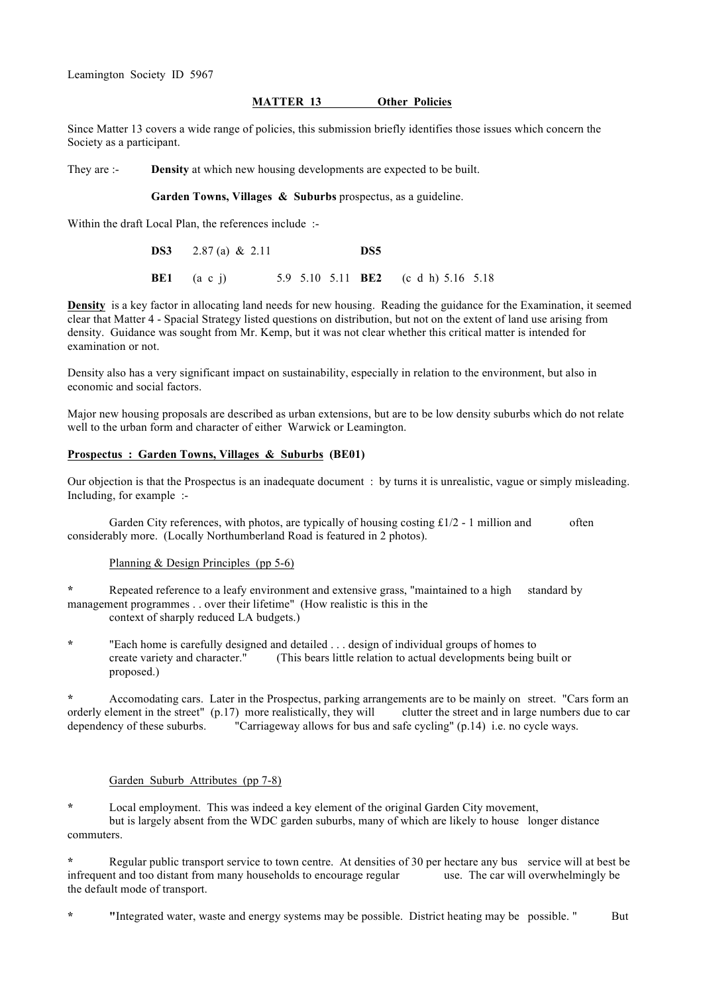# **MATTER 13 Other Policies**

Since Matter 13 covers a wide range of policies, this submission briefly identifies those issues which concern the Society as a participant.

They are :- **Density** at which new housing developments are expected to be built.

**Garden Towns, Villages & Suburbs** prospectus, as a guideline.

Within the draft Local Plan, the references include :-

**DS3** 2.87 (a) & 2.11 **DS5 BE1** (a c j) 5.9 5.10 5.11 **BE2** (c d h) 5.16 5.18

**Density** is a key factor in allocating land needs for new housing. Reading the guidance for the Examination, it seemed clear that Matter 4 - Spacial Strategy listed questions on distribution, but not on the extent of land use arising from density. Guidance was sought from Mr. Kemp, but it was not clear whether this critical matter is intended for examination or not.

Density also has a very significant impact on sustainability, especially in relation to the environment, but also in economic and social factors.

Major new housing proposals are described as urban extensions, but are to be low density suburbs which do not relate well to the urban form and character of either Warwick or Leamington.

## **Prospectus : Garden Towns, Villages & Suburbs (BE01)**

Our objection is that the Prospectus is an inadequate document : by turns it is unrealistic, vague or simply misleading. Including, for example :-

Garden City references, with photos, are typically of housing costing  $\text{\pounds}1/2$  - 1 million and often considerably more. (Locally Northumberland Road is featured in 2 photos).

## Planning & Design Principles (pp 5-6)

**\*** Repeated reference to a leafy environment and extensive grass, "maintained to a high standard by management programmes . . over their lifetime" (How realistic is this in the context of sharply reduced LA budgets.)

**\*** "Each home is carefully designed and detailed . . . design of individual groups of homes to create variety and character." (This bears little relation to actual developments being built or proposed.)

**\*** Accomodating cars. Later in the Prospectus, parking arrangements are to be mainly on street. "Cars form an orderly element in the street" (p.17) more realistically, they will clutter the street and in large numbers due to car dependency of these suburbs. "Carriageway allows for bus and safe cycling" (p.14) i.e. no cycle ways.

## Garden Suburb Attributes (pp 7-8)

**\*** Local employment. This was indeed a key element of the original Garden City movement, but is largely absent from the WDC garden suburbs, many of which are likely to house longer distance commuters.

**\*** Regular public transport service to town centre. At densities of 30 per hectare any bus service will at best be infrequent and too distant from many households to encourage regular use. The car will overwhelmingly be the default mode of transport.

**\* "**Integrated water, waste and energy systems may be possible. District heating may be possible. " But